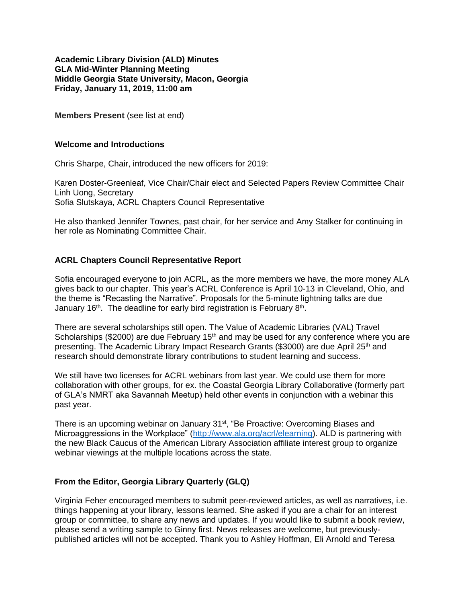### **Academic Library Division (ALD) Minutes GLA Mid-Winter Planning Meeting Middle Georgia State University, Macon, Georgia Friday, January 11, 2019, 11:00 am**

**Members Present** (see list at end)

### **Welcome and Introductions**

Chris Sharpe, Chair, introduced the new officers for 2019:

Karen Doster-Greenleaf, Vice Chair/Chair elect and Selected Papers Review Committee Chair Linh Uong, Secretary Sofia Slutskaya, ACRL Chapters Council Representative

He also thanked Jennifer Townes, past chair, for her service and Amy Stalker for continuing in her role as Nominating Committee Chair.

# **ACRL Chapters Council Representative Report**

Sofia encouraged everyone to join ACRL, as the more members we have, the more money ALA gives back to our chapter. This year's ACRL Conference is April 10-13 in Cleveland, Ohio, and the theme is "Recasting the Narrative". Proposals for the 5-minute lightning talks are due January 16<sup>th</sup>. The deadline for early bird registration is February 8<sup>th</sup>.

There are several scholarships still open. The Value of Academic Libraries (VAL) Travel Scholarships (\$2000) are due February  $15<sup>th</sup>$  and may be used for any conference where you are presenting. The Academic Library Impact Research Grants (\$3000) are due April 25<sup>th</sup> and research should demonstrate library contributions to student learning and success.

We still have two licenses for ACRL webinars from last year. We could use them for more collaboration with other groups, for ex. the Coastal Georgia Library Collaborative (formerly part of GLA's NMRT aka Savannah Meetup) held other events in conjunction with a webinar this past year.

There is an upcoming webinar on January 31<sup>st</sup>, "Be Proactive: Overcoming Biases and Microaggressions in the Workplace" [\(http://www.ala.org/acrl/elearning\)](http://www.ala.org/acrl/elearning). ALD is partnering with the new Black Caucus of the American Library Association affiliate interest group to organize webinar viewings at the multiple locations across the state.

## **From the Editor, Georgia Library Quarterly (GLQ)**

Virginia Feher encouraged members to submit peer-reviewed articles, as well as narratives, i.e. things happening at your library, lessons learned. She asked if you are a chair for an interest group or committee, to share any news and updates. If you would like to submit a book review, please send a writing sample to Ginny first. News releases are welcome, but previouslypublished articles will not be accepted. Thank you to Ashley Hoffman, Eli Arnold and Teresa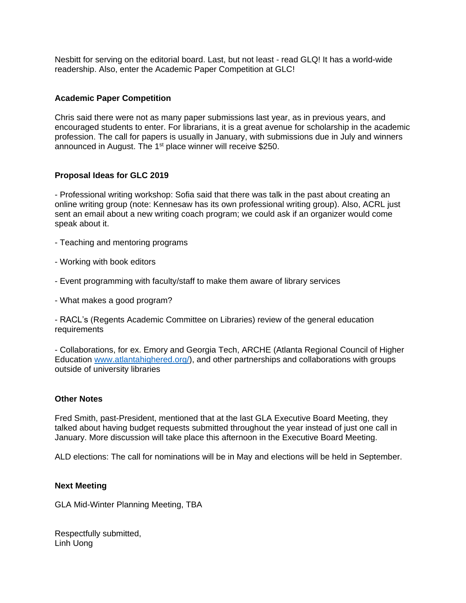Nesbitt for serving on the editorial board. Last, but not least - read GLQ! It has a world-wide readership. Also, enter the Academic Paper Competition at GLC!

## **Academic Paper Competition**

Chris said there were not as many paper submissions last year, as in previous years, and encouraged students to enter. For librarians, it is a great avenue for scholarship in the academic profession. The call for papers is usually in January, with submissions due in July and winners announced in August. The 1<sup>st</sup> place winner will receive \$250.

## **Proposal Ideas for GLC 2019**

- Professional writing workshop: Sofia said that there was talk in the past about creating an online writing group (note: Kennesaw has its own professional writing group). Also, ACRL just sent an email about a new writing coach program; we could ask if an organizer would come speak about it.

- Teaching and mentoring programs
- Working with book editors
- Event programming with faculty/staff to make them aware of library services
- What makes a good program?

- RACL's (Regents Academic Committee on Libraries) review of the general education requirements

- Collaborations, for ex. Emory and Georgia Tech, ARCHE (Atlanta Regional Council of Higher Education [www.atlantahighered.org/\)](http://www.atlantahighered.org/), and other partnerships and collaborations with groups outside of university libraries

### **Other Notes**

Fred Smith, past-President, mentioned that at the last GLA Executive Board Meeting, they talked about having budget requests submitted throughout the year instead of just one call in January. More discussion will take place this afternoon in the Executive Board Meeting.

ALD elections: The call for nominations will be in May and elections will be held in September.

### **Next Meeting**

GLA Mid-Winter Planning Meeting, TBA

Respectfully submitted, Linh Uong